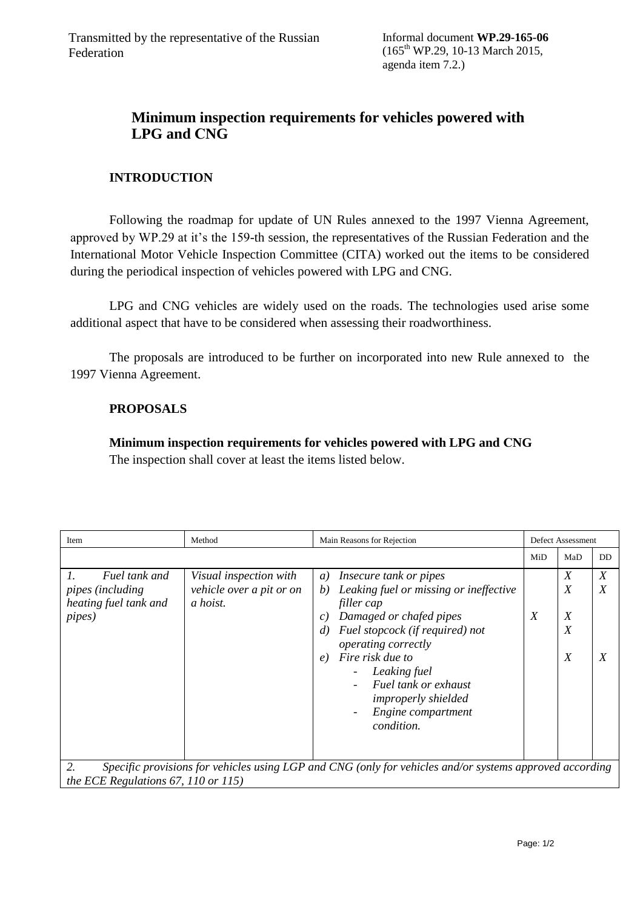## **Minimum inspection requirements for vehicles powered with LPG and СNG**

## **INTRODUCTION**

Following the roadmap for update of UN Rules annexed to the 1997 Vienna Agreement, approved by WP.29 at it's the 159-th session, the representatives of the Russian Federation and the International Motor Vehicle Inspection Committee (CITA) worked out the items to be considered during the periodical inspection of vehicles powered with LPG and СNG.

LPG and СNG vehicles are widely used on the roads. The technologies used arise some additional aspect that have to be considered when assessing their roadworthiness.

The proposals are introduced to be further on incorporated into new Rule annexed to the 1997 Vienna Agreement.

## **PROPOSALS**

## **Minimum inspection requirements for vehicles powered with LPG and СNG** The inspection shall cover at least the items listed below.

| Item                                                                                                                                                 | Method                                                         | Main Reasons for Rejection                                                                                                                                                                                                                                                                                                                                                                                           |     | Defect Assessment                    |                                                          |  |  |  |
|------------------------------------------------------------------------------------------------------------------------------------------------------|----------------------------------------------------------------|----------------------------------------------------------------------------------------------------------------------------------------------------------------------------------------------------------------------------------------------------------------------------------------------------------------------------------------------------------------------------------------------------------------------|-----|--------------------------------------|----------------------------------------------------------|--|--|--|
|                                                                                                                                                      |                                                                |                                                                                                                                                                                                                                                                                                                                                                                                                      | MiD | MaD                                  | <b>DD</b>                                                |  |  |  |
| 1.<br>Fuel tank and<br><i>pipes (including</i><br>heating fuel tank and<br><i>pipes</i> )                                                            | Visual inspection with<br>vehicle over a pit or on<br>a hoist. | <i>Insecure tank or pipes</i><br>a)<br>Leaking fuel or missing or ineffective<br>b)<br>filler cap<br>Damaged or chafed pipes<br>$\mathcal{C}$ )<br>Fuel stopcock (if required) not<br>$\left( d\right)$<br><i>operating correctly</i><br>Fire risk due to<br>$\epsilon$<br>Leaking fuel<br>Fuel tank or exhaust<br><i>improperly shielded</i><br>Engine compartment<br>$\overline{\phantom{a}}$<br><i>condition.</i> | X   | X<br>X<br>X<br>$\boldsymbol{X}$<br>X | $\boldsymbol{X}$<br>$\boldsymbol{X}$<br>$\boldsymbol{X}$ |  |  |  |
| 2.<br>Specific provisions for vehicles using LGP and CNG (only for vehicles and/or systems approved according<br>the ECE Regulations 67, 110 or 115) |                                                                |                                                                                                                                                                                                                                                                                                                                                                                                                      |     |                                      |                                                          |  |  |  |